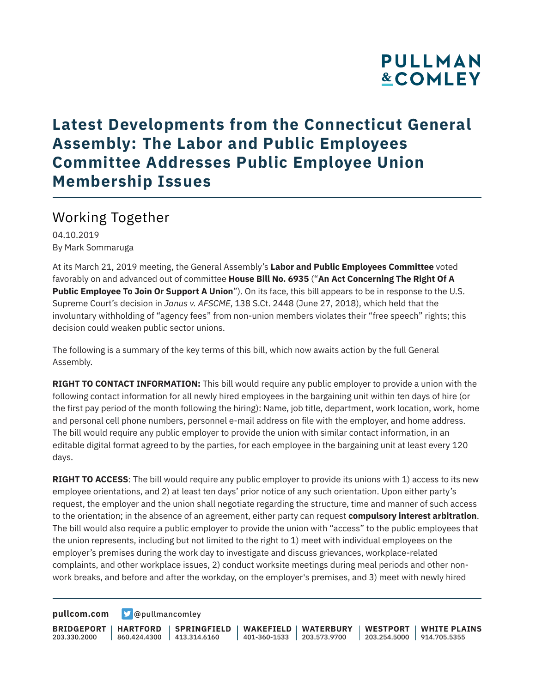## **PULLMAN &COMLEY**

### **Latest Developments from the Connecticut General Assembly: The Labor and Public Employees Committee Addresses Public Employee Union Membership Issues**

### Working Together

04.10.2019 By Mark Sommaruga

At its March 21, 2019 meeting, the General Assembly's **Labor and Public Employees Committee** voted favorably on and advanced out of committee **House Bill No. 6935** ("**An Act Concerning The Right Of A Public Employee To Join Or Support A Union**"). On its face, this bill appears to be in response to the U.S. Supreme Court's decision in *Janus v. AFSCME*, 138 S.Ct. 2448 (June 27, 2018), which held that the involuntary withholding of "agency fees" from non-union members violates their "free speech" rights; this decision could weaken public sector unions.

The following is a summary of the key terms of this bill, which now awaits action by the full General Assembly.

**RIGHT TO CONTACT INFORMATION:** This bill would require any public employer to provide a union with the following contact information for all newly hired employees in the bargaining unit within ten days of hire (or the first pay period of the month following the hiring): Name, job title, department, work location, work, home and personal cell phone numbers, personnel e-mail address on file with the employer, and home address. The bill would require any public employer to provide the union with similar contact information, in an editable digital format agreed to by the parties, for each employee in the bargaining unit at least every 120 days.

**RIGHT TO ACCESS**: The bill would require any public employer to provide its unions with 1) access to its new employee orientations, and 2) at least ten days' prior notice of any such orientation. Upon either party's request, the employer and the union shall negotiate regarding the structure, time and manner of such access to the orientation; in the absence of an agreement, either party can request **compulsory interest arbitration**. The bill would also require a public employer to provide the union with "access" to the public employees that the union represents, including but not limited to the right to 1) meet with individual employees on the employer's premises during the work day to investigate and discuss grievances, workplace-related complaints, and other workplace issues, 2) conduct worksite meetings during meal periods and other nonwork breaks, and before and after the workday, on the employer's premises, and 3) meet with newly hired

**[pullcom.com](https://www.pullcom.com) g** [@pullmancomley](https://twitter.com/PullmanComley)

**BRIDGEPORT** 203.330.2000

**HARTFORD**

860.424.4300 413.314.6160 **SPRINGFIELD** **WAKEFIELD WATERBURY** 401-360-1533 203.573.9700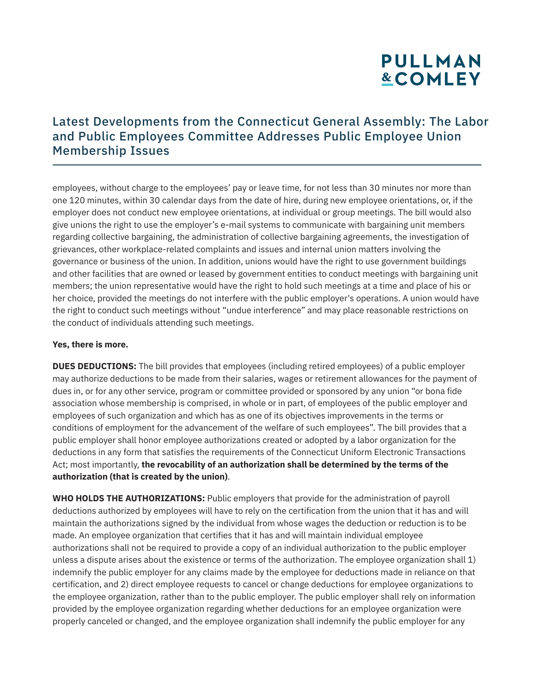# **PULLMAN &COMLEY**

### Latest Developments from the Connecticut General Assembly: The Labor and Public Employees Committee Addresses Public Employee Union Membership Issues

employees, without charge to the employees' pay or leave time, for not less than 30 minutes nor more than one 120 minutes, within 30 calendar days from the date of hire, during new employee orientations, or, if the employer does not conduct new employee orientations, at individual or group meetings. The bill would also give unions the right to use the employer's e-mail systems to communicate with bargaining unit members regarding collective bargaining, the administration of collective bargaining agreements, the investigation of grievances, other workplace-related complaints and issues and internal union matters involving the governance or business of the union. In addition, unions would have the right to use government buildings and other facilities that are owned or leased by government entities to conduct meetings with bargaining unit members; the union representative would have the right to hold such meetings at a time and place of his or her choice, provided the meetings do not interfere with the public employer's operations. A union would have the right to conduct such meetings without "undue interference" and may place reasonable restrictions on the conduct of individuals attending such meetings.

#### **Yes, there is more.**

**DUES DEDUCTIONS:** The bill provides that employees (including retired employees) of a public employer may authorize deductions to be made from their salaries, wages or retirement allowances for the payment of dues in, or for any other service, program or committee provided or sponsored by any union "or bona fide association whose membership is comprised, in whole or in part, of employees of the public employer and employees of such organization and which has as one of its objectives improvements in the terms or conditions of employment for the advancement of the welfare of such employees". The bill provides that a public employer shall honor employee authorizations created or adopted by a labor organization for the deductions in any form that satisfies the requirements of the Connecticut Uniform Electronic Transactions Act; most importantly, **the revocability of an authorization shall be determined by the terms of the authorization (that is created by the union)**.

**WHO HOLDS THE AUTHORIZATIONS:** Public employers that provide for the administration of payroll deductions authorized by employees will have to rely on the certification from the union that it has and will maintain the authorizations signed by the individual from whose wages the deduction or reduction is to be made. An employee organization that certifies that it has and will maintain individual employee authorizations shall not be required to provide a copy of an individual authorization to the public employer unless a dispute arises about the existence or terms of the authorization. The employee organization shall 1) indemnify the public employer for any claims made by the employee for deductions made in reliance on that certification, and 2) direct employee requests to cancel or change deductions for employee organizations to the employee organization, rather than to the public employer. The public employer shall rely on information provided by the employee organization regarding whether deductions for an employee organization were properly canceled or changed, and the employee organization shall indemnify the public employer for any